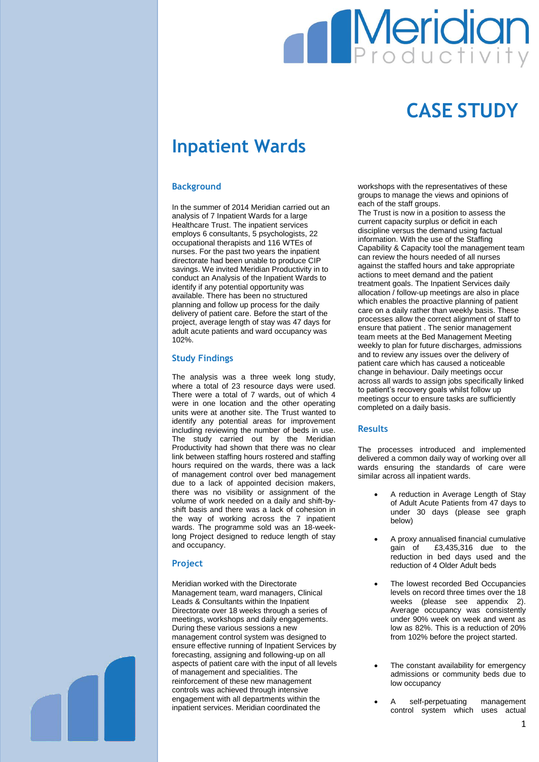# **Meridian**

## **CASE STUDY**

### **Inpatient Wards**

#### **Background**

In the summer of 2014 Meridian carried out an analysis of 7 Inpatient Wards for a large Healthcare Trust. The inpatient services employs 6 consultants, 5 psychologists, 22 occupational therapists and 116 WTEs of nurses. For the past two years the inpatient directorate had been unable to produce CIP savings. We invited Meridian Productivity in to conduct an Analysis of the Inpatient Wards to identify if any potential opportunity was available. There has been no structured planning and follow up process for the daily delivery of patient care. Before the start of the project, average length of stay was 47 days for adult acute patients and ward occupancy was 102%.

#### **Study Findings**

The analysis was a three week long study, where a total of 23 resource days were used. There were a total of 7 wards, out of which 4 were in one location and the other operating units were at another site. The Trust wanted to identify any potential areas for improvement including reviewing the number of beds in use. The study carried out by the Meridian Productivity had shown that there was no clear link between staffing hours rostered and staffing hours required on the wards, there was a lack of management control over bed management due to a lack of appointed decision makers, there was no visibility or assignment of the volume of work needed on a daily and shift-byshift basis and there was a lack of cohesion in the way of working across the 7 inpatient wards. The programme sold was an 18-weeklong Project designed to reduce length of stay and occupancy.

#### **Project**

Meridian worked with the Directorate Management team, ward managers, Clinical Leads & Consultants within the Inpatient Directorate over 18 weeks through a series of meetings, workshops and daily engagements. During these various sessions a new management control system was designed to ensure effective running of Inpatient Services by forecasting, assigning and following-up on all aspects of patient care with the input of all levels of management and specialities. The reinforcement of these new management controls was achieved through intensive engagement with all departments within the inpatient services. Meridian coordinated the

workshops with the representatives of these groups to manage the views and opinions of each of the staff groups.

The Trust is now in a position to assess the current capacity surplus or deficit in each discipline versus the demand using factual information. With the use of the Staffing Capability & Capacity tool the management team can review the hours needed of all nurses against the staffed hours and take appropriate actions to meet demand and the patient treatment goals. The Inpatient Services daily allocation / follow-up meetings are also in place which enables the proactive planning of patient care on a daily rather than weekly basis. These processes allow the correct alignment of staff to ensure that patient . The senior management team meets at the Bed Management Meeting weekly to plan for future discharges, admissions and to review any issues over the delivery of patient care which has caused a noticeable change in behaviour. Daily meetings occur across all wards to assign jobs specifically linked to patient's recovery goals whilst follow up meetings occur to ensure tasks are sufficiently completed on a daily basis.

#### **Results**

The processes introduced and implemented delivered a common daily way of working over all wards ensuring the standards of care were similar across all inpatient wards.

- A reduction in Average Length of Stay of Adult Acute Patients from 47 days to under 30 days (please see graph below)
- A proxy annualised financial cumulative gain of £3,435,316 due to the reduction in bed days used and the reduction of 4 Older Adult beds
- The lowest recorded Bed Occupancies levels on record three times over the 18 weeks (please see appendix 2). Average occupancy was consistently under 90% week on week and went as low as 82%. This is a reduction of 20% from 102% before the project started.
- The constant availability for emergency admissions or community beds due to low occupancy
- A self-perpetuating management control system which uses actual

1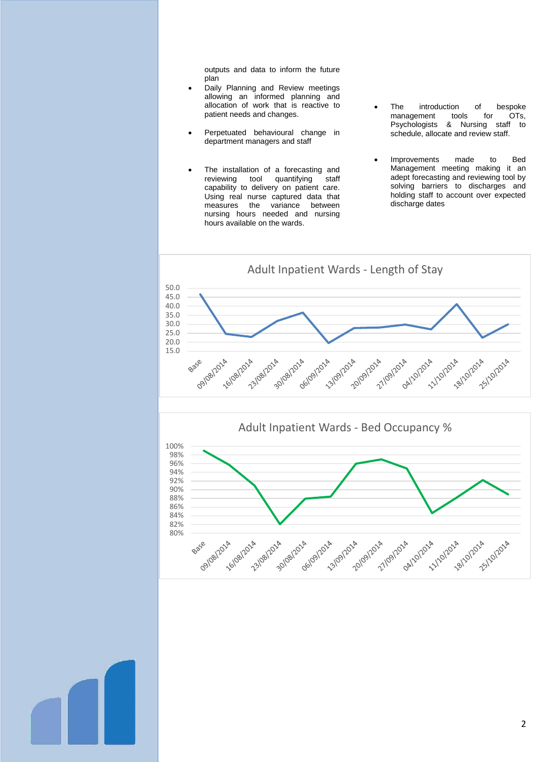outputs and data to inform the future plan

- Daily Planning and Review meetings allowing an informed planning and allocation of work that is reactive to patient needs and changes.
- Perpetuated behavioural change in department managers and staff
- The installation of a forecasting and<br>reviewing tool quantifying staff quantifying staff capability to delivery on patient care. Using real nurse captured data that measures the variance between nursing hours needed and nursing hours available on the wards.
- The introduction of bespoke management tools for OTs, Psychologists & Nursing staff to schedule, allocate and review staff.
- Improvements made to Bed Management meeting making it an adept forecasting and reviewing tool by solving barriers to discharges and holding staff to account over expected discharge dates